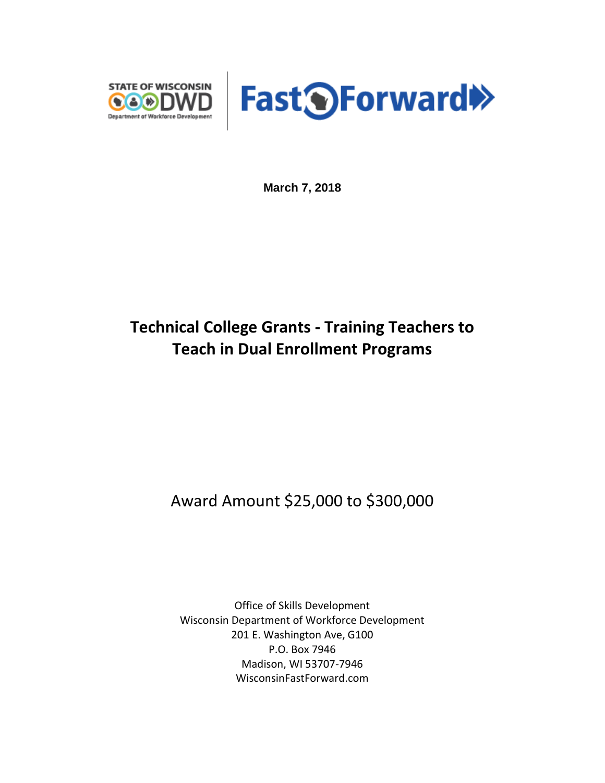



**March 7, 2018**

# **Technical College Grants - Training Teachers to Teach in Dual Enrollment Programs**

## Award Amount \$25,000 to \$300,000

Office of Skills Development Wisconsin Department of Workforce Development 201 E. Washington Ave, G100 P.O. Box 7946 Madison, WI 53707-7946 WisconsinFastForward.com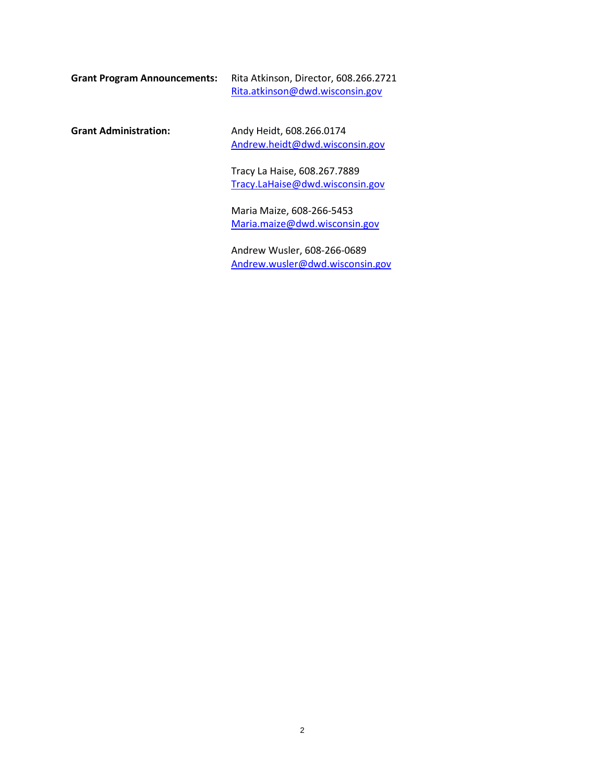| <b>Grant Program Announcements:</b> | Rita Atkinson, Director, 608.266.2721 |
|-------------------------------------|---------------------------------------|
|                                     | Rita.atkinson@dwd.wisconsin.gov       |

**Grant Administration:** Andy Heidt, 608.266.0174 [Andrew.heidt@dwd.wisconsin.gov](mailto:Andrew.heidt@dwd.wisconsin.gov)

> Tracy La Haise, 608.267.7889 [Tracy.LaHaise@dwd.wisconsin.gov](mailto:Tracy.LaHaise@dwd.wisconsin.gov)

Maria Maize, 608-266-5453 [Maria.maize@dwd.wisconsin.gov](mailto:Maria.maize@dwd.wisconsin.gov)

Andrew Wusler, 608-266-0689 [Andrew.wusler@dwd.wisconsin.gov](mailto:Andrew.wusler@dwd.wisconsin.gov)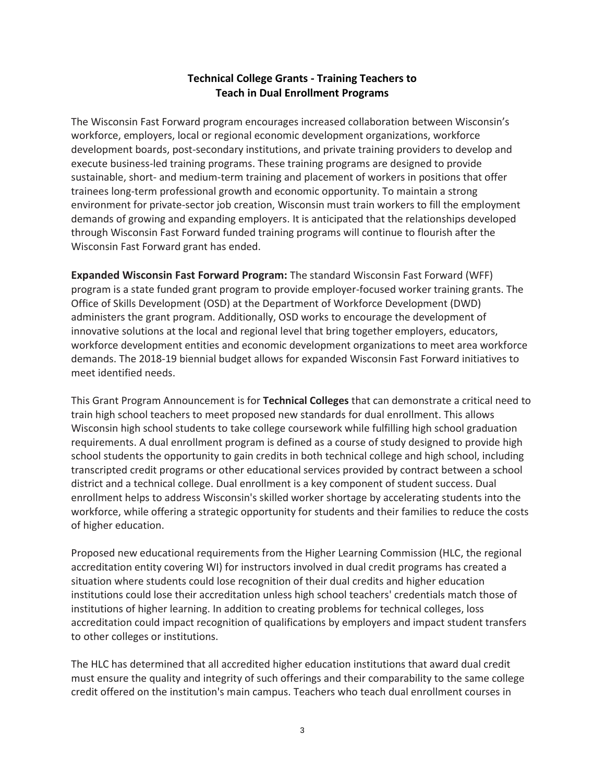## **Technical College Grants - Training Teachers to Teach in Dual Enrollment Programs**

The Wisconsin Fast Forward program encourages increased collaboration between Wisconsin's workforce, employers, local or regional economic development organizations, workforce development boards, post-secondary institutions, and private training providers to develop and execute business-led training programs. These training programs are designed to provide sustainable, short- and medium-term training and placement of workers in positions that offer trainees long-term professional growth and economic opportunity. To maintain a strong environment for private-sector job creation, Wisconsin must train workers to fill the employment demands of growing and expanding employers. It is anticipated that the relationships developed through Wisconsin Fast Forward funded training programs will continue to flourish after the Wisconsin Fast Forward grant has ended.

**Expanded Wisconsin Fast Forward Program:** The standard Wisconsin Fast Forward (WFF) program is a state funded grant program to provide employer-focused worker training grants. The Office of Skills Development (OSD) at the Department of Workforce Development (DWD) administers the grant program. Additionally, OSD works to encourage the development of innovative solutions at the local and regional level that bring together employers, educators, workforce development entities and economic development organizations to meet area workforce demands. The 2018-19 biennial budget allows for expanded Wisconsin Fast Forward initiatives to meet identified needs.

This Grant Program Announcement is for **Technical Colleges** that can demonstrate a critical need to train high school teachers to meet proposed new standards for dual enrollment. This allows Wisconsin high school students to take college coursework while fulfilling high school graduation requirements. A dual enrollment program is defined as a course of study designed to provide high school students the opportunity to gain credits in both technical college and high school, including transcripted credit programs or other educational services provided by contract between a school district and a technical college. Dual enrollment is a key component of student success. Dual enrollment helps to address Wisconsin's skilled worker shortage by accelerating students into the workforce, while offering a strategic opportunity for students and their families to reduce the costs of higher education.

Proposed new educational requirements from the Higher Learning Commission (HLC, the regional accreditation entity covering WI) for instructors involved in dual credit programs has created a situation where students could lose recognition of their dual credits and higher education institutions could lose their accreditation unless high school teachers' credentials match those of institutions of higher learning. In addition to creating problems for technical colleges, loss accreditation could impact recognition of qualifications by employers and impact student transfers to other colleges or institutions.

The HLC has determined that all accredited higher education institutions that award dual credit must ensure the quality and integrity of such offerings and their comparability to the same college credit offered on the institution's main campus. Teachers who teach dual enrollment courses in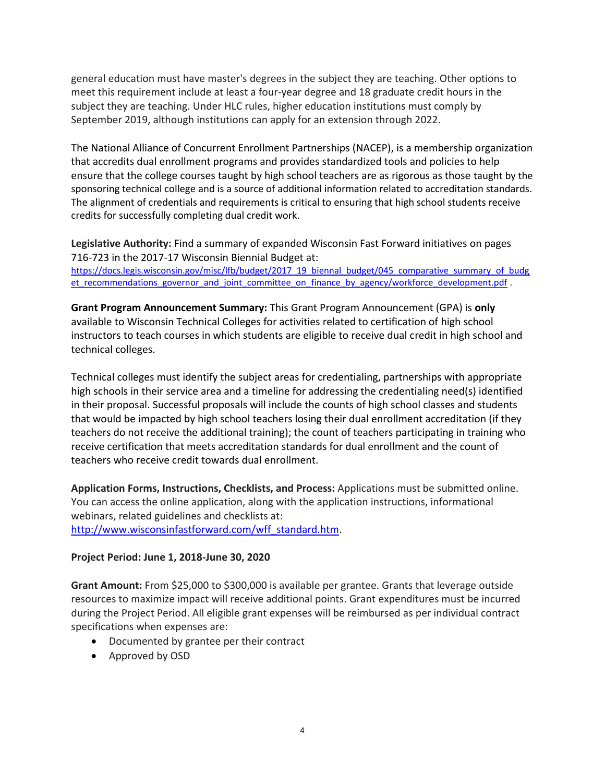general education must have master's degrees in the subject they are teaching. Other options to meet this requirement include at least a four-year degree and 18 graduate credit hours in the subject they are teaching. Under HLC rules, higher education institutions must comply by September 2019, although institutions can apply for an extension through 2022.

The National Alliance of Concurrent Enrollment Partnerships (NACEP), is a membership organization that accredits dual enrollment programs and provides standardized tools and policies to help ensure that the college courses taught by high school teachers are as rigorous as those taught by the sponsoring technical college and is a source of additional information related to accreditation standards. The alignment of credentials and requirements is critical to ensuring that high school students receive credits for successfully completing dual credit work.

**Legislative Authority:** Find a summary of expanded Wisconsin Fast Forward initiatives on pages 716-723 in the 2017-17 Wisconsin Biennial Budget at: [https://docs.legis.wisconsin.gov/misc/lfb/budget/2017\\_19\\_biennal\\_budget/045\\_comparative\\_summary\\_of\\_budg](https://docs.legis.wisconsin.gov/misc/lfb/budget/2017_19_biennal_budget/045_comparative_summary_of_budget_recommendations_governor_and_joint_committee_on_finance_by_agency/workforce_development.pdf) [et\\_recommendations\\_governor\\_and\\_joint\\_committee\\_on\\_finance\\_by\\_agency/workforce\\_development.pdf](https://docs.legis.wisconsin.gov/misc/lfb/budget/2017_19_biennal_budget/045_comparative_summary_of_budget_recommendations_governor_and_joint_committee_on_finance_by_agency/workforce_development.pdf) .

**Grant Program Announcement Summary:** This Grant Program Announcement (GPA) is **only**  available to Wisconsin Technical Colleges for activities related to certification of high school instructors to teach courses in which students are eligible to receive dual credit in high school and technical colleges.

Technical colleges must identify the subject areas for credentialing, partnerships with appropriate high schools in their service area and a timeline for addressing the credentialing need(s) identified in their proposal. Successful proposals will include the counts of high school classes and students that would be impacted by high school teachers losing their dual enrollment accreditation (if they teachers do not receive the additional training); the count of teachers participating in training who receive certification that meets accreditation standards for dual enrollment and the count of teachers who receive credit towards dual enrollment.

**Application Forms, Instructions, Checklists, and Process:** Applications must be submitted online. You can access the online application, along with the application instructions, informational webinars, related guidelines and checklists at: [http://www.wisconsinfastforward.com/wff\\_standard.htm.](http://www.wisconsinfastforward.com/wff_standard.htm)

#### **Project Period: June 1, 2018-June 30, 2020**

**Grant Amount:** From \$25,000 to \$300,000 is available per grantee. Grants that leverage outside resources to maximize impact will receive additional points. Grant expenditures must be incurred during the Project Period. All eligible grant expenses will be reimbursed as per individual contract specifications when expenses are:

- Documented by grantee per their contract
- Approved by OSD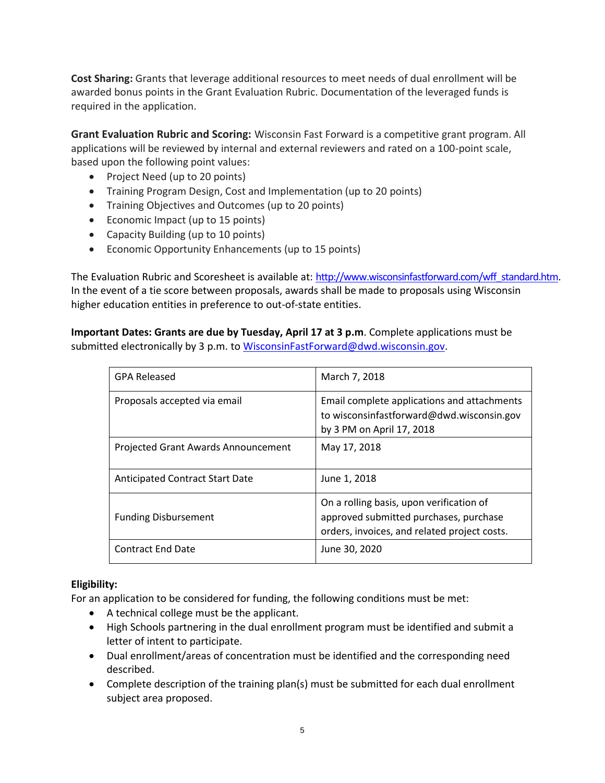**Cost Sharing:** Grants that leverage additional resources to meet needs of dual enrollment will be awarded bonus points in the Grant Evaluation Rubric. Documentation of the leveraged funds is required in the application.

**Grant Evaluation Rubric and Scoring:** Wisconsin Fast Forward is a competitive grant program. All applications will be reviewed by internal and external reviewers and rated on a 100-point scale, based upon the following point values:

- Project Need (up to 20 points)
- Training Program Design, Cost and Implementation (up to 20 points)
- Training Objectives and Outcomes (up to 20 points)
- Economic Impact (up to 15 points)
- Capacity Building (up to 10 points)
- Economic Opportunity Enhancements (up to 15 points)

The Evaluation Rubric and Scoresheet is available at: [http://www.wisconsinfastforward.com/wff\\_standard.htm.](http://www.wisconsinfastforward.com/wff_standard.htm) In the event of a tie score between proposals, awards shall be made to proposals using Wisconsin higher education entities in preference to out-of-state entities.

**Important Dates: Grants are due by Tuesday, April 17 at 3 p.m**. Complete applications must be submitted electronically by 3 p.m. to [WisconsinFastForward@dwd.wisconsin.gov.](mailto:WisconsinFastForward@dwd.wisconsin.gov)

| <b>GPA Released</b>                 | March 7, 2018                                                                                                                      |
|-------------------------------------|------------------------------------------------------------------------------------------------------------------------------------|
| Proposals accepted via email        | Email complete applications and attachments<br>to wisconsinfastforward@dwd.wisconsin.gov<br>by 3 PM on April 17, 2018              |
| Projected Grant Awards Announcement | May 17, 2018                                                                                                                       |
| Anticipated Contract Start Date     | June 1, 2018                                                                                                                       |
| <b>Funding Disbursement</b>         | On a rolling basis, upon verification of<br>approved submitted purchases, purchase<br>orders, invoices, and related project costs. |
| <b>Contract End Date</b>            | June 30, 2020                                                                                                                      |

#### **Eligibility:**

For an application to be considered for funding, the following conditions must be met:

- A technical college must be the applicant.
- High Schools partnering in the dual enrollment program must be identified and submit a letter of intent to participate.
- Dual enrollment/areas of concentration must be identified and the corresponding need described.
- Complete description of the training plan(s) must be submitted for each dual enrollment subject area proposed.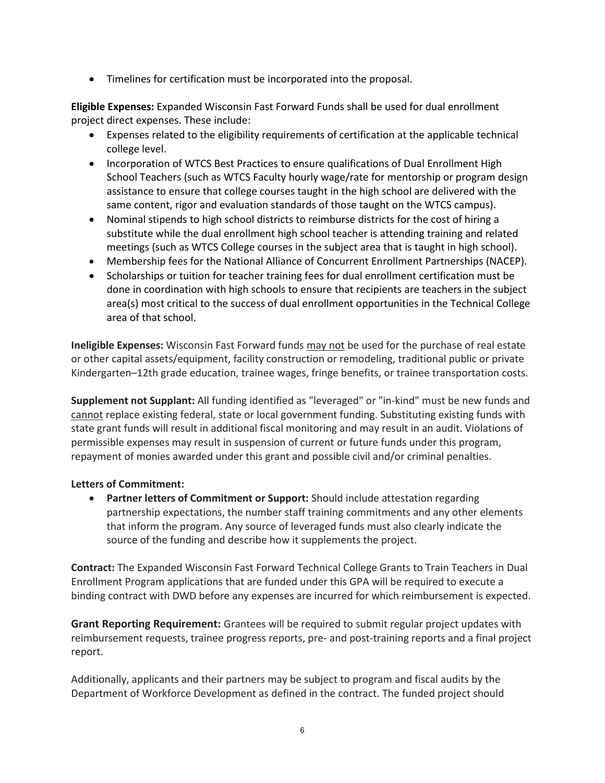• Timelines for certification must be incorporated into the proposal.

**Eligible Expenses:** Expanded Wisconsin Fast Forward Funds shall be used for dual enrollment project direct expenses. These include:

- Expenses related to the eligibility requirements of certification at the applicable technical college level.
- Incorporation of WTCS Best Practices to ensure qualifications of Dual Enrollment High School Teachers (such as WTCS Faculty hourly wage/rate for mentorship or program design assistance to ensure that college courses taught in the high school are delivered with the same content, rigor and evaluation standards of those taught on the WTCS campus).
- Nominal stipends to high school districts to reimburse districts for the cost of hiring a substitute while the dual enrollment high school teacher is attending training and related meetings (such as WTCS College courses in the subject area that is taught in high school).
- Membership fees for the National Alliance of Concurrent Enrollment Partnerships (NACEP).
- Scholarships or tuition for teacher training fees for dual enrollment certification must be done in coordination with high schools to ensure that recipients are teachers in the subject area(s) most critical to the success of dual enrollment opportunities in the Technical College area of that school.

**Ineligible Expenses:** Wisconsin Fast Forward funds may not be used for the purchase of real estate or other capital assets/equipment, facility construction or remodeling, traditional public or private Kindergarten–12th grade education, trainee wages, fringe benefits, or trainee transportation costs.

**Supplement not Supplant:** All funding identified as "leveraged" or "in-kind" must be new funds and cannot replace existing federal, state or local government funding. Substituting existing funds with state grant funds will result in additional fiscal monitoring and may result in an audit. Violations of permissible expenses may result in suspension of current or future funds under this program, repayment of monies awarded under this grant and possible civil and/or criminal penalties.

## **Letters of Commitment:**

• **Partner letters of Commitment or Support:** Should include attestation regarding partnership expectations, the number staff training commitments and any other elements that inform the program. Any source of leveraged funds must also clearly indicate the source of the funding and describe how it supplements the project.

**Contract:** The Expanded Wisconsin Fast Forward Technical College Grants to Train Teachers in Dual Enrollment Program applications that are funded under this GPA will be required to execute a binding contract with DWD before any expenses are incurred for which reimbursement is expected.

**Grant Reporting Requirement:** Grantees will be required to submit regular project updates with reimbursement requests, trainee progress reports, pre- and post-training reports and a final project report.

Additionally, applicants and their partners may be subject to program and fiscal audits by the Department of Workforce Development as defined in the contract. The funded project should